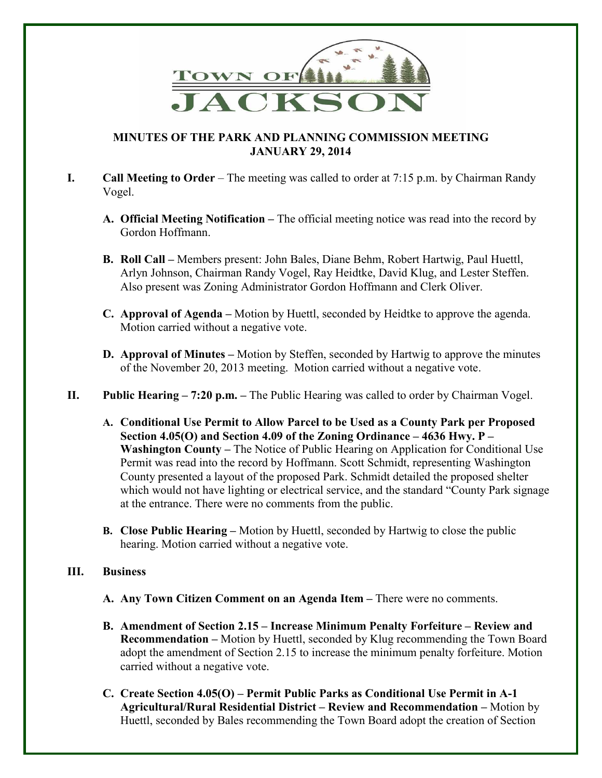

## **MINUTES OF THE PARK AND PLANNING COMMISSION MEETING JANUARY 29, 2014**

- **I. Call Meeting to Order** The meeting was called to order at 7:15 p.m. by Chairman Randy Vogel.
	- **A. Official Meeting Notification –** The official meeting notice was read into the record by Gordon Hoffmann.
	- **B. Roll Call –** Members present: John Bales, Diane Behm, Robert Hartwig, Paul Huettl, Arlyn Johnson, Chairman Randy Vogel, Ray Heidtke, David Klug, and Lester Steffen. Also present was Zoning Administrator Gordon Hoffmann and Clerk Oliver.
	- **C. Approval of Agenda –** Motion by Huettl, seconded by Heidtke to approve the agenda. Motion carried without a negative vote.
	- **D. Approval of Minutes** Motion by Steffen, seconded by Hartwig to approve the minutes of the November 20, 2013 meeting. Motion carried without a negative vote.
- **II. Public Hearing – 7:20 p.m. –** The Public Hearing was called to order by Chairman Vogel.
	- **A. Conditional Use Permit to Allow Parcel to be Used as a County Park per Proposed Section 4.05(O) and Section 4.09 of the Zoning Ordinance – 4636 Hwy. P – Washington County – The Notice of Public Hearing on Application for Conditional Use** Permit was read into the record by Hoffmann. Scott Schmidt, representing Washington County presented a layout of the proposed Park. Schmidt detailed the proposed shelter which would not have lighting or electrical service, and the standard "County Park signage at the entrance. There were no comments from the public.
	- **B. Close Public Hearing –** Motion by Huettl, seconded by Hartwig to close the public hearing. Motion carried without a negative vote.

## **III. Business**

- A. Any Town Citizen Comment on an Agenda Item There were no comments.
- **B. Amendment of Section 2.15 – Increase Minimum Penalty Forfeiture – Review and Recommendation –** Motion by Huettl, seconded by Klug recommending the Town Board adopt the amendment of Section 2.15 to increase the minimum penalty forfeiture. Motion carried without a negative vote.
- **C. Create Section 4.05(O) – Permit Public Parks as Conditional Use Permit in A-1 Agricultural/Rural Residential District – Review and Recommendation –** Motion by Huettl, seconded by Bales recommending the Town Board adopt the creation of Section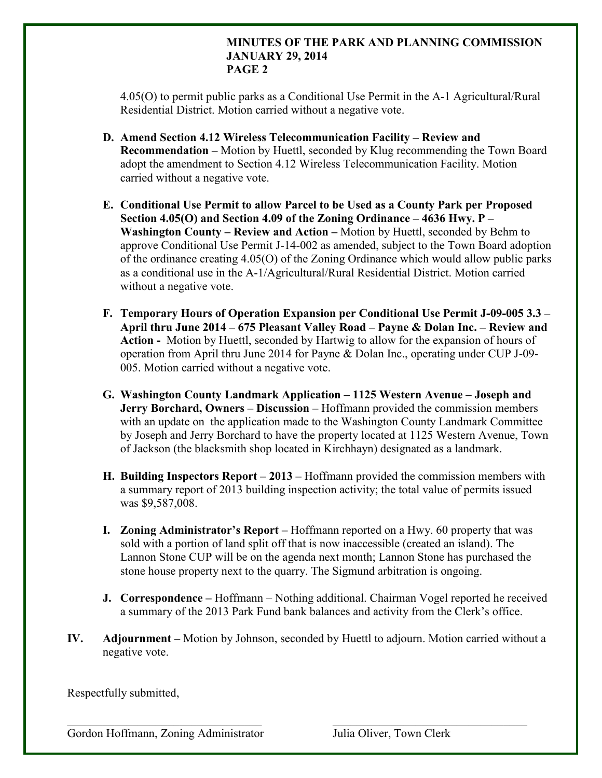#### **MINUTES OF THE PARK AND PLANNING COMMISSION JANUARY 29, 2014 PAGE 2**

4.05(O) to permit public parks as a Conditional Use Permit in the A-1 Agricultural/Rural Residential District. Motion carried without a negative vote.

- **D. Amend Section 4.12 Wireless Telecommunication Facility – Review and Recommendation –** Motion by Huettl, seconded by Klug recommending the Town Board adopt the amendment to Section 4.12 Wireless Telecommunication Facility. Motion carried without a negative vote.
- **E. Conditional Use Permit to allow Parcel to be Used as a County Park per Proposed Section 4.05(O) and Section 4.09 of the Zoning Ordinance – 4636 Hwy. P – Washington County – Review and Action –** Motion by Huettl, seconded by Behm to approve Conditional Use Permit J-14-002 as amended, subject to the Town Board adoption of the ordinance creating 4.05(O) of the Zoning Ordinance which would allow public parks as a conditional use in the A-1/Agricultural/Rural Residential District. Motion carried without a negative vote.
- **F. Temporary Hours of Operation Expansion per Conditional Use Permit J-09-005 3.3 – April thru June 2014 – 675 Pleasant Valley Road – Payne & Dolan Inc. – Review and Action -** Motion by Huettl, seconded by Hartwig to allow for the expansion of hours of operation from April thru June 2014 for Payne & Dolan Inc., operating under CUP J-09- 005. Motion carried without a negative vote.
- **G. Washington County Landmark Application – 1125 Western Avenue – Joseph and Jerry Borchard, Owners – Discussion –** Hoffmann provided the commission members with an update on the application made to the Washington County Landmark Committee by Joseph and Jerry Borchard to have the property located at 1125 Western Avenue, Town of Jackson (the blacksmith shop located in Kirchhayn) designated as a landmark.
- **H. Building Inspectors Report – 2013 –** Hoffmann provided the commission members with a summary report of 2013 building inspection activity; the total value of permits issued was \$9,587,008.
- **I. Zoning Administrator's Report –** Hoffmann reported on a Hwy. 60 property that was sold with a portion of land split off that is now inaccessible (created an island). The Lannon Stone CUP will be on the agenda next month; Lannon Stone has purchased the stone house property next to the quarry. The Sigmund arbitration is ongoing.
- **J. Correspondence –** Hoffmann Nothing additional. Chairman Vogel reported he received a summary of the 2013 Park Fund bank balances and activity from the Clerk's office.
- **IV. Adjournment –** Motion by Johnson, seconded by Huettl to adjourn. Motion carried without a negative vote.

\_\_\_\_\_\_\_\_\_\_\_\_\_\_\_\_\_\_\_\_\_\_\_\_\_\_\_\_\_\_\_\_\_ \_\_\_\_\_\_\_\_\_\_\_\_\_\_\_\_\_\_\_\_\_\_\_\_\_\_\_\_\_\_\_\_\_

Respectfully submitted,

Gordon Hoffmann, Zoning Administrator Julia Oliver, Town Clerk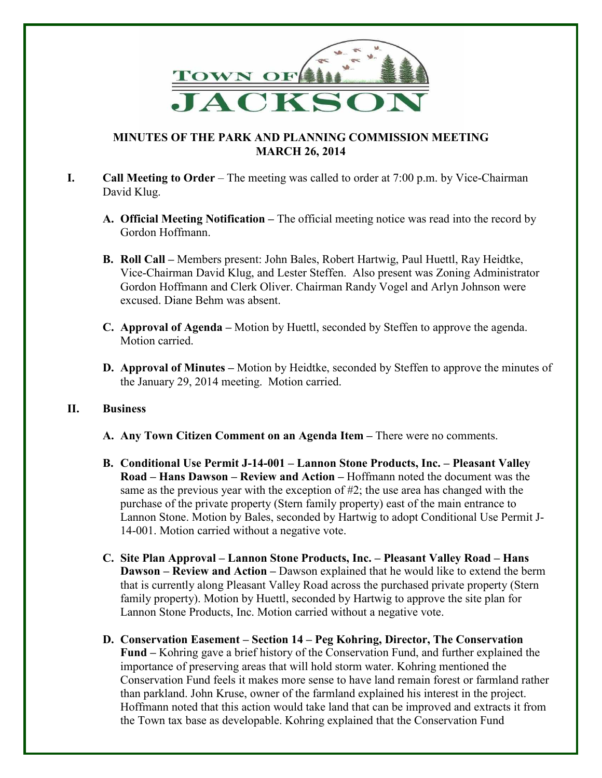

## **MINUTES OF THE PARK AND PLANNING COMMISSION MEETING MARCH 26, 2014**

- **I. Call Meeting to Order** The meeting was called to order at 7:00 p.m. by Vice-Chairman David Klug.
	- **A. Official Meeting Notification –** The official meeting notice was read into the record by Gordon Hoffmann.
	- **B. Roll Call –** Members present: John Bales, Robert Hartwig, Paul Huettl, Ray Heidtke, Vice-Chairman David Klug, and Lester Steffen. Also present was Zoning Administrator Gordon Hoffmann and Clerk Oliver. Chairman Randy Vogel and Arlyn Johnson were excused. Diane Behm was absent.
	- **C. Approval of Agenda –** Motion by Huettl, seconded by Steffen to approve the agenda. Motion carried.
	- **D. Approval of Minutes** Motion by Heidtke, seconded by Steffen to approve the minutes of the January 29, 2014 meeting. Motion carried.

#### **II. Business**

- A. Any Town Citizen Comment on an Agenda Item There were no comments.
- **B. Conditional Use Permit J-14-001 – Lannon Stone Products, Inc. – Pleasant Valley Road – Hans Dawson – Review and Action –** Hoffmann noted the document was the same as the previous year with the exception of #2; the use area has changed with the purchase of the private property (Stern family property) east of the main entrance to Lannon Stone. Motion by Bales, seconded by Hartwig to adopt Conditional Use Permit J-14-001. Motion carried without a negative vote.
- **C. Site Plan Approval – Lannon Stone Products, Inc. – Pleasant Valley Road – Hans Dawson – Review and Action –** Dawson explained that he would like to extend the berm that is currently along Pleasant Valley Road across the purchased private property (Stern family property). Motion by Huettl, seconded by Hartwig to approve the site plan for Lannon Stone Products, Inc. Motion carried without a negative vote.
- **D. Conservation Easement – Section 14 – Peg Kohring, Director, The Conservation Fund –** Kohring gave a brief history of the Conservation Fund, and further explained the importance of preserving areas that will hold storm water. Kohring mentioned the Conservation Fund feels it makes more sense to have land remain forest or farmland rather than parkland. John Kruse, owner of the farmland explained his interest in the project. Hoffmann noted that this action would take land that can be improved and extracts it from the Town tax base as developable. Kohring explained that the Conservation Fund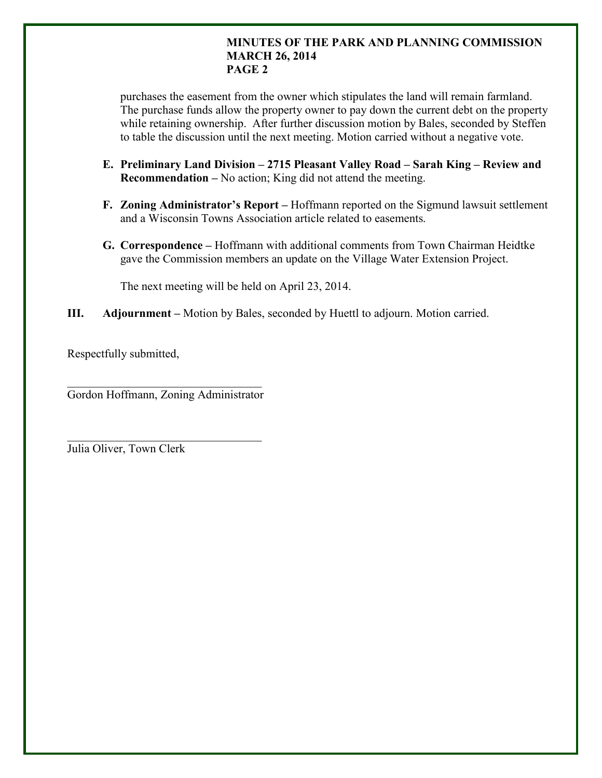#### **MINUTES OF THE PARK AND PLANNING COMMISSION MARCH 26, 2014 PAGE 2**

purchases the easement from the owner which stipulates the land will remain farmland. The purchase funds allow the property owner to pay down the current debt on the property while retaining ownership. After further discussion motion by Bales, seconded by Steffen to table the discussion until the next meeting. Motion carried without a negative vote.

- **E. Preliminary Land Division – 2715 Pleasant Valley Road – Sarah King – Review and Recommendation –** No action; King did not attend the meeting.
- **F. Zoning Administrator's Report –** Hoffmann reported on the Sigmund lawsuit settlement and a Wisconsin Towns Association article related to easements.
- **G. Correspondence –** Hoffmann with additional comments from Town Chairman Heidtke gave the Commission members an update on the Village Water Extension Project.

The next meeting will be held on April 23, 2014.

## **III. Adjournment –** Motion by Bales, seconded by Huettl to adjourn. Motion carried.

Respectfully submitted,

 $\mathcal{L}_\mathcal{L}$  , which is a set of the set of the set of the set of the set of the set of the set of the set of the set of the set of the set of the set of the set of the set of the set of the set of the set of the set of Gordon Hoffmann, Zoning Administrator

 $\mathcal{L}_\mathcal{L}$  , which is a set of the set of the set of the set of the set of the set of the set of the set of the set of the set of the set of the set of the set of the set of the set of the set of the set of the set of Julia Oliver, Town Clerk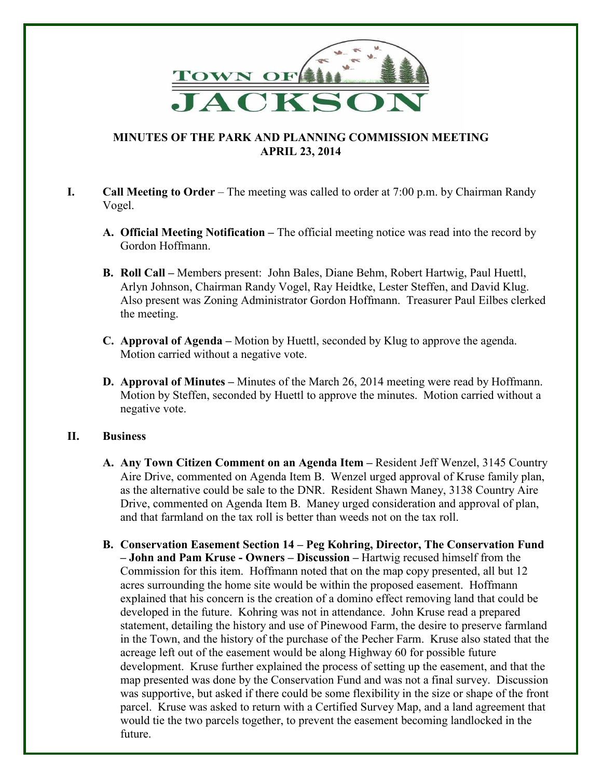

## **MINUTES OF THE PARK AND PLANNING COMMISSION MEETING APRIL 23, 2014**

- **I. Call Meeting to Order** The meeting was called to order at 7:00 p.m. by Chairman Randy Vogel.
	- **A. Official Meeting Notification –** The official meeting notice was read into the record by Gordon Hoffmann.
	- **B. Roll Call –** Members present: John Bales, Diane Behm, Robert Hartwig, Paul Huettl, Arlyn Johnson, Chairman Randy Vogel, Ray Heidtke, Lester Steffen, and David Klug. Also present was Zoning Administrator Gordon Hoffmann. Treasurer Paul Eilbes clerked the meeting.
	- **C. Approval of Agenda –** Motion by Huettl, seconded by Klug to approve the agenda. Motion carried without a negative vote.
	- **D. Approval of Minutes –** Minutes of the March 26, 2014 meeting were read by Hoffmann. Motion by Steffen, seconded by Huettl to approve the minutes. Motion carried without a negative vote.

#### **II. Business**

- **A.** Any Town Citizen Comment on an Agenda Item Resident Jeff Wenzel, 3145 Country Aire Drive, commented on Agenda Item B. Wenzel urged approval of Kruse family plan, as the alternative could be sale to the DNR. Resident Shawn Maney, 3138 Country Aire Drive, commented on Agenda Item B. Maney urged consideration and approval of plan, and that farmland on the tax roll is better than weeds not on the tax roll.
- **B. Conservation Easement Section 14 – Peg Kohring, Director, The Conservation Fund – John and Pam Kruse - Owners – Discussion –** Hartwig recused himself from the Commission for this item. Hoffmann noted that on the map copy presented, all but 12 acres surrounding the home site would be within the proposed easement. Hoffmann explained that his concern is the creation of a domino effect removing land that could be developed in the future. Kohring was not in attendance. John Kruse read a prepared statement, detailing the history and use of Pinewood Farm, the desire to preserve farmland in the Town, and the history of the purchase of the Pecher Farm. Kruse also stated that the acreage left out of the easement would be along Highway 60 for possible future development. Kruse further explained the process of setting up the easement, and that the map presented was done by the Conservation Fund and was not a final survey. Discussion was supportive, but asked if there could be some flexibility in the size or shape of the front parcel. Kruse was asked to return with a Certified Survey Map, and a land agreement that would tie the two parcels together, to prevent the easement becoming landlocked in the future.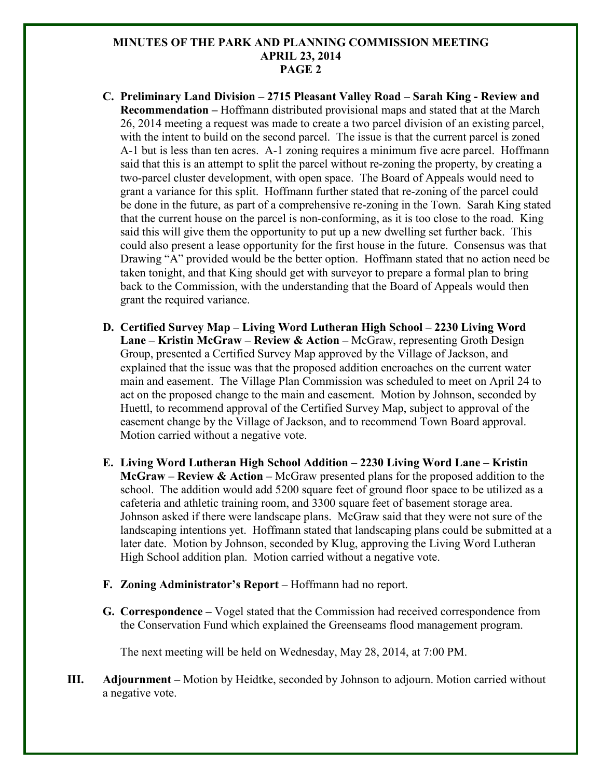#### **MINUTES OF THE PARK AND PLANNING COMMISSION MEETING APRIL 23, 2014 PAGE 2**

- **C. Preliminary Land Division – 2715 Pleasant Valley Road – Sarah King - Review and Recommendation –** Hoffmann distributed provisional maps and stated that at the March 26, 2014 meeting a request was made to create a two parcel division of an existing parcel, with the intent to build on the second parcel. The issue is that the current parcel is zoned A-1 but is less than ten acres. A-1 zoning requires a minimum five acre parcel. Hoffmann said that this is an attempt to split the parcel without re-zoning the property, by creating a two-parcel cluster development, with open space. The Board of Appeals would need to grant a variance for this split. Hoffmann further stated that re-zoning of the parcel could be done in the future, as part of a comprehensive re-zoning in the Town. Sarah King stated that the current house on the parcel is non-conforming, as it is too close to the road. King said this will give them the opportunity to put up a new dwelling set further back. This could also present a lease opportunity for the first house in the future. Consensus was that Drawing "A" provided would be the better option. Hoffmann stated that no action need be taken tonight, and that King should get with surveyor to prepare a formal plan to bring back to the Commission, with the understanding that the Board of Appeals would then grant the required variance.
- **D. Certified Survey Map – Living Word Lutheran High School – 2230 Living Word Lane – Kristin McGraw – Review & Action –** McGraw, representing Groth Design Group, presented a Certified Survey Map approved by the Village of Jackson, and explained that the issue was that the proposed addition encroaches on the current water main and easement. The Village Plan Commission was scheduled to meet on April 24 to act on the proposed change to the main and easement. Motion by Johnson, seconded by Huettl, to recommend approval of the Certified Survey Map, subject to approval of the easement change by the Village of Jackson, and to recommend Town Board approval. Motion carried without a negative vote.
- **E. Living Word Lutheran High School Addition – 2230 Living Word Lane – Kristin McGraw – Review & Action –** McGraw presented plans for the proposed addition to the school. The addition would add 5200 square feet of ground floor space to be utilized as a cafeteria and athletic training room, and 3300 square feet of basement storage area. Johnson asked if there were landscape plans. McGraw said that they were not sure of the landscaping intentions yet. Hoffmann stated that landscaping plans could be submitted at a later date. Motion by Johnson, seconded by Klug, approving the Living Word Lutheran High School addition plan. Motion carried without a negative vote.
- **F. Zoning Administrator's Report** Hoffmann had no report.
- **G. Correspondence –** Vogel stated that the Commission had received correspondence from the Conservation Fund which explained the Greenseams flood management program.

The next meeting will be held on Wednesday, May 28, 2014, at 7:00 PM.

**III. Adjournment –** Motion by Heidtke, seconded by Johnson to adjourn. Motion carried without a negative vote.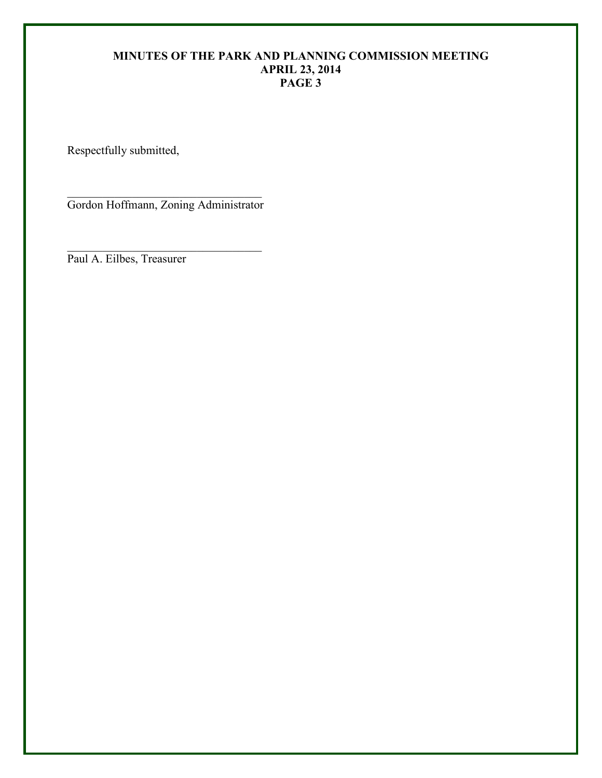## **MINUTES OF THE PARK AND PLANNING COMMISSION MEETING APRIL 23, 2014 PAGE 3**

Respectfully submitted,

 $\mathcal{L}_\mathcal{L}$  , which is a set of the set of the set of the set of the set of the set of the set of the set of the set of the set of the set of the set of the set of the set of the set of the set of the set of the set of Gordon Hoffmann, Zoning Administrator

 $\mathcal{L}_\mathcal{L}$  , which is a set of the set of the set of the set of the set of the set of the set of the set of the set of the set of the set of the set of the set of the set of the set of the set of the set of the set of

Paul A. Eilbes, Treasurer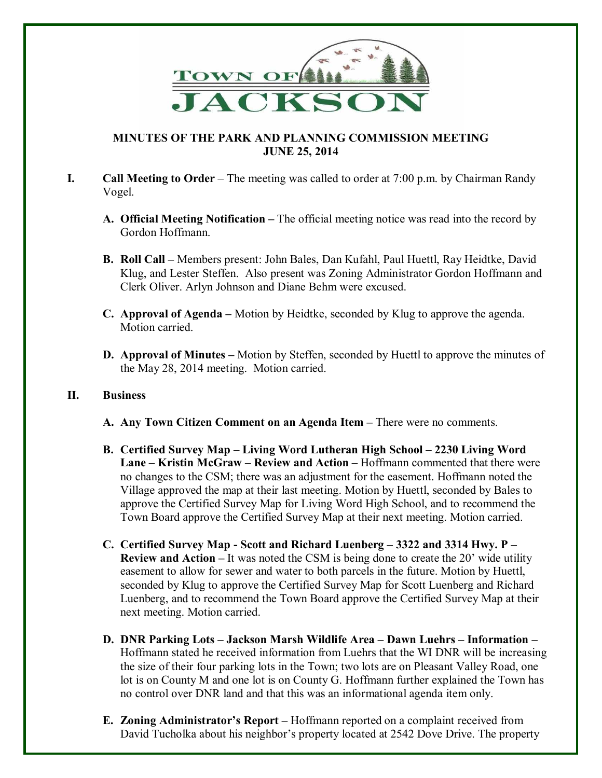

## **MINUTES OF THE PARK AND PLANNING COMMISSION MEETING JUNE 25, 2014**

- **I. Call Meeting to Order** The meeting was called to order at 7:00 p.m. by Chairman Randy Vogel.
	- **A. Official Meeting Notification –** The official meeting notice was read into the record by Gordon Hoffmann.
	- **B. Roll Call –** Members present: John Bales, Dan Kufahl, Paul Huettl, Ray Heidtke, David Klug, and Lester Steffen. Also present was Zoning Administrator Gordon Hoffmann and Clerk Oliver. Arlyn Johnson and Diane Behm were excused.
	- **C. Approval of Agenda –** Motion by Heidtke, seconded by Klug to approve the agenda. Motion carried.
	- **D. Approval of Minutes –** Motion by Steffen, seconded by Huettl to approve the minutes of the May 28, 2014 meeting. Motion carried.

#### **II. Business**

- **A.** Any Town Citizen Comment on an Agenda Item There were no comments.
- **B. Certified Survey Map – Living Word Lutheran High School – 2230 Living Word Lane – Kristin McGraw – Review and Action –** Hoffmann commented that there were no changes to the CSM; there was an adjustment for the easement. Hoffmann noted the Village approved the map at their last meeting. Motion by Huettl, seconded by Bales to approve the Certified Survey Map for Living Word High School, and to recommend the Town Board approve the Certified Survey Map at their next meeting. Motion carried.
- **C. Certified Survey Map - Scott and Richard Luenberg – 3322 and 3314 Hwy. P – Review and Action – It was noted the CSM is being done to create the 20' wide utility** easement to allow for sewer and water to both parcels in the future. Motion by Huettl, seconded by Klug to approve the Certified Survey Map for Scott Luenberg and Richard Luenberg, and to recommend the Town Board approve the Certified Survey Map at their next meeting. Motion carried.
- **D. DNR Parking Lots – Jackson Marsh Wildlife Area – Dawn Luehrs – Information –** Hoffmann stated he received information from Luehrs that the WI DNR will be increasing the size of their four parking lots in the Town; two lots are on Pleasant Valley Road, one lot is on County M and one lot is on County G. Hoffmann further explained the Town has no control over DNR land and that this was an informational agenda item only.
- **E. Zoning Administrator's Report –** Hoffmann reported on a complaint received from David Tucholka about his neighbor's property located at 2542 Dove Drive. The property